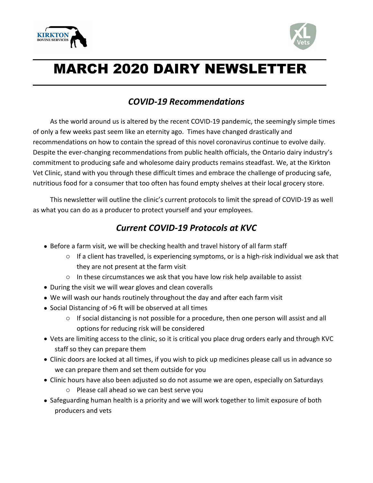



## MARCH 2020 DAIRY NEWSLETTER

## *COVID-19 Recommendations*

As the world around us is altered by the recent COVID-19 pandemic, the seemingly simple times of only a few weeks past seem like an eternity ago. Times have changed drastically and recommendations on how to contain the spread of this novel coronavirus continue to evolve daily. Despite the ever-changing recommendations from public health officials, the Ontario dairy industry's commitment to producing safe and wholesome dairy products remains steadfast. We, at the Kirkton Vet Clinic, stand with you through these difficult times and embrace the challenge of producing safe, nutritious food for a consumer that too often has found empty shelves at their local grocery store.

This newsletter will outline the clinic's current protocols to limit the spread of COVID-19 as well as what you can do as a producer to protect yourself and your employees.

## *Current COVID-19 Protocols at KVC*

- Before a farm visit, we will be checking health and travel history of all farm staff
	- $\circ$  If a client has travelled, is experiencing symptoms, or is a high-risk individual we ask that they are not present at the farm visit
	- $\circ$  In these circumstances we ask that you have low risk help available to assist
- During the visit we will wear gloves and clean coveralls
- We will wash our hands routinely throughout the day and after each farm visit
- Social Distancing of >6 ft will be observed at all times
	- o If social distancing is not possible for a procedure, then one person will assist and all options for reducing risk will be considered
- Vets are limiting access to the clinic, so it is critical you place drug orders early and through KVC staff so they can prepare them
- Clinic doors are locked at all times, if you wish to pick up medicines please call us in advance so we can prepare them and set them outside for you
- Clinic hours have also been adjusted so do not assume we are open, especially on Saturdays
	- o Please call ahead so we can best serve you
- Safeguarding human health is a priority and we will work together to limit exposure of both producers and vets